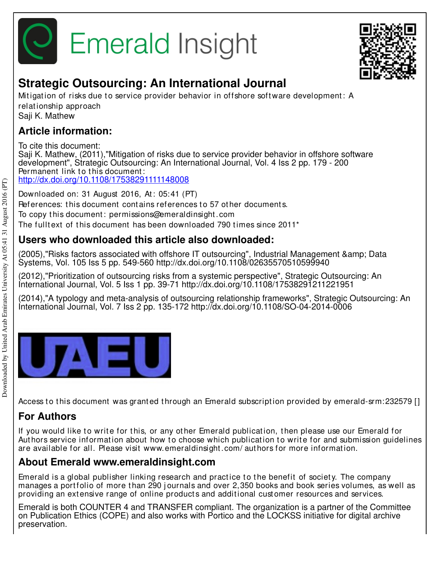



# **Strategic Outsourcing: An International Journal**

Mitigation of risks due to service provider behavior in offshore software development: A relat ionship approach Saji K. Mathew

## **Article information:**

To cite this document: Saji K. Mathew, (2011),"Mitigation of risks due to service provider behavior in offshore software development", Strategic Outsourcing: An International Journal, Vol. 4 Iss 2 pp. 179 - 200 Permanent link to this document: http://dx.doi.org/10.1108/17538291111148008

Downloaded on: 31 August 2016, At : 05:41 (PT)

References: this document contains references to 57 other documents.

To copy t his document : permissions@emeraldinsight .com

The fulltext of this document has been downloaded 790 times since  $2011<sup>*</sup>$ 

## **Users who downloaded this article also downloaded:**

(2005),"Risks factors associated with offshore IT outsourcing", Industrial Management & amp: Data Systems, Vol. 105 Iss 5 pp. 549-560 http://dx.doi.org/10.1108/02635570510599940

(2012),"Prioritization of outsourcing risks from a systemic perspective", Strategic Outsourcing: An International Journal, Vol. 5 Iss 1 pp. 39-71 http://dx.doi.org/10.1108/17538291211221951

(2014),"A typology and meta-analysis of outsourcing relationship frameworks", Strategic Outsourcing: An International Journal, Vol. 7 Iss 2 pp. 135-172 http://dx.doi.org/10.1108/SO-04-2014-0006

|--|--|--|--|--|

Access to this document was granted through an Emerald subscription provided by emerald-srm:232579 []

## **For Authors**

If you would like to write for this, or any other Emerald publication, then please use our Emerald for Authors service information about how to choose which publication to write for and submission guidelines are available for all. Please visit www.emeraldinsight .com/ aut hors for more informat ion.

## **About Emerald www.emeraldinsight.com**

Emerald is a global publisher linking research and practice to the benefit of society. The company manages a portfolio of more than 290 journals and over 2,350 books and book series volumes, as well as providing an extensive range of online products and additional customer resources and services.

Emerald is both COUNTER 4 and TRANSFER compliant. The organization is a partner of the Committee on Publication Ethics (COPE) and also works with Portico and the LOCKSS initiative for digital archive preservation.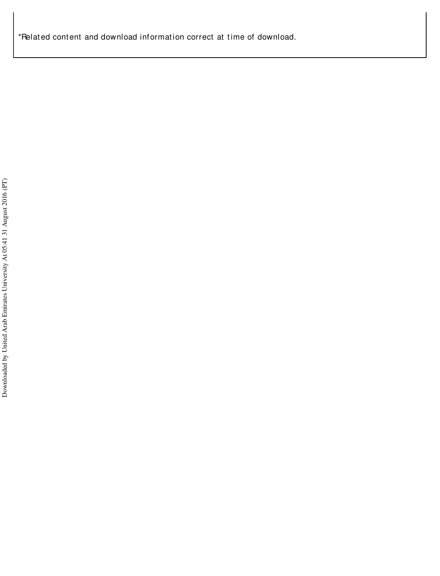\*Related content and download information correct at time of download.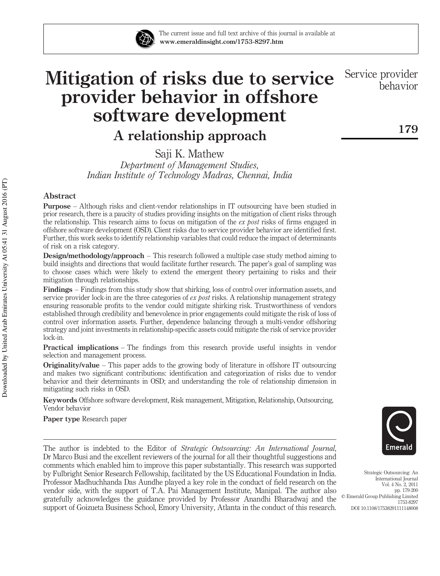

# Mitigation of risks due to service provider behavior in offshore software development

A relationship approach

Saji K. Mathew *Department of Management Studies, Indian Institute of Technology Madras, Chennai, India*

#### Abstract

Purpose – Although risks and client-vendor relationships in IT outsourcing have been studied in prior research, there is a paucity of studies providing insights on the mitigation of client risks through the relationship. This research aims to focus on mitigation of the *ex post* risks of firms engaged in offshore software development (OSD). Client risks due to service provider behavior are identified first. Further, this work seeks to identify relationship variables that could reduce the impact of determinants of risk on a risk category.

Design/methodology/approach – This research followed a multiple case study method aiming to build insights and directions that would facilitate further research. The paper's goal of sampling was to choose cases which were likely to extend the emergent theory pertaining to risks and their mitigation through relationships.

Findings – Findings from this study show that shirking, loss of control over information assets, and service provider lock-in are the three categories of *ex post* risks. A relationship management strategy ensuring reasonable profits to the vendor could mitigate shirking risk. Trustworthiness of vendors established through credibility and benevolence in prior engagements could mitigate the risk of loss of control over information assets. Further, dependence balancing through a multi-vendor offshoring strategy and joint investments in relationship-specific assets could mitigate the risk of service provider lock-in.

Practical implications – The findings from this research provide useful insights in vendor selection and management process.

Originality/value – This paper adds to the growing body of literature in offshore IT outsourcing and makes two significant contributions: identification and categorization of risks due to vendor behavior and their determinants in OSD; and understanding the role of relationship dimension in mitigating such risks in OSD.

Keywords Offshore software development, Risk management, Mitigation, Relationship, Outsourcing, Vendor behavior

Paper type Research paper

The author is indebted to the Editor of *Strategic Outsourcing: An International Journal*, Dr Marco Busi and the excellent reviewers of the journal for all their thoughtful suggestions and comments which enabled him to improve this paper substantially. This research was supported by Fulbright Senior Research Fellowship, facilitated by the US Educational Foundation in India. Professor Madhuchhanda Das Aundhe played a key role in the conduct of field research on the vendor side, with the support of T.A. Pai Management Institute, Manipal. The author also gratefully acknowledges the guidance provided by Professor Anandhi Bharadwaj and the support of Goizueta Business School, Emory University, Atlanta in the conduct of this research.



Strategic Outsourcing: An International Journal Vol. 4 No. 2, 2011 pp. 179-200 q Emerald Group Publishing Limited 1753-8297 DOI 10.1108/17538291111148008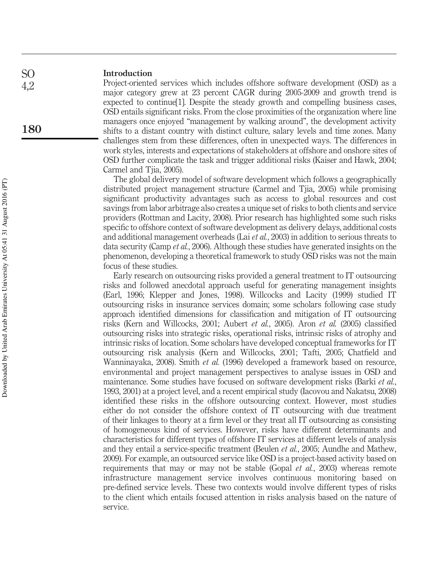#### Introduction SO

4,2

180

Project-oriented services which includes offshore software development (OSD) as a major category grew at 23 percent CAGR during 2005-2009 and growth trend is expected to continue[1]. Despite the steady growth and compelling business cases, OSD entails significant risks. From the close proximities of the organization where line managers once enjoyed "management by walking around", the development activity shifts to a distant country with distinct culture, salary levels and time zones. Many challenges stem from these differences, often in unexpected ways. The differences in work styles, interests and expectations of stakeholders at offshore and onshore sites of OSD further complicate the task and trigger additional risks (Kaiser and Hawk, 2004; Carmel and Tjia, 2005).

The global delivery model of software development which follows a geographically distributed project management structure (Carmel and Tjia, 2005) while promising significant productivity advantages such as access to global resources and cost savings from labor arbitrage also creates a unique set of risks to both clients and service providers (Rottman and Lacity, 2008). Prior research has highlighted some such risks specific to offshore context of software development as delivery delays, additional costs and additional management overheads (Lai *et al.*, 2003) in addition to serious threats to data security (Camp *et al.*, 2006). Although these studies have generated insights on the phenomenon, developing a theoretical framework to study OSD risks was not the main focus of these studies.

Early research on outsourcing risks provided a general treatment to IT outsourcing risks and followed anecdotal approach useful for generating management insights (Earl, 1996; Klepper and Jones, 1998). Willcocks and Lacity (1999) studied IT outsourcing risks in insurance services domain; some scholars following case study approach identified dimensions for classification and mitigation of IT outsourcing risks (Kern and Willcocks, 2001; Aubert *et al.*, 2005). Aron *et al.* (2005) classified outsourcing risks into strategic risks, operational risks, intrinsic risks of atrophy and intrinsic risks of location. Some scholars have developed conceptual frameworks for IT outsourcing risk analysis (Kern and Willcocks, 2001; Tafti, 2005; Chatfield and Wanninayaka, 2008). Smith *et al.* (1996) developed a framework based on resource, environmental and project management perspectives to analyse issues in OSD and maintenance. Some studies have focused on software development risks (Barki *et al.*, 1993, 2001) at a project level, and a recent empirical study (Iacovou and Nakatsu, 2008) identified these risks in the offshore outsourcing context. However, most studies either do not consider the offshore context of IT outsourcing with due treatment of their linkages to theory at a firm level or they treat all IT outsourcing as consisting of homogeneous kind of services. However, risks have different determinants and characteristics for different types of offshore IT services at different levels of analysis and they entail a service-specific treatment (Beulen *et al.*, 2005; Aundhe and Mathew, 2009). For example, an outsourced service like OSD is a project-based activity based on requirements that may or may not be stable (Gopal *et al.*, 2003) whereas remote infrastructure management service involves continuous monitoring based on pre-defined service levels. These two contexts would involve different types of risks to the client which entails focused attention in risks analysis based on the nature of service.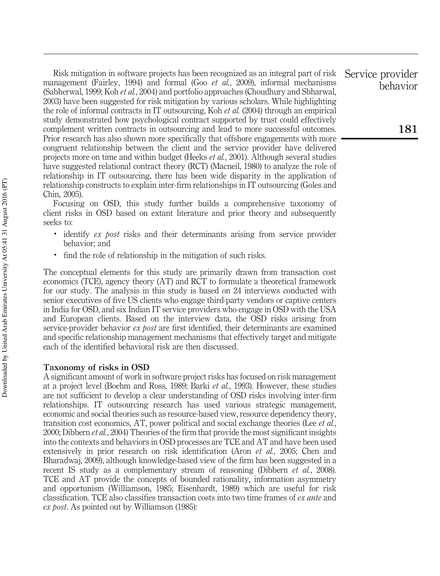Risk mitigation in software projects has been recognized as an integral part of risk management (Fairley, 1994) and formal (Goo *et al.*, 2009), informal mechanisms (Sabherwal, 1999; Koh *et al.*, 2004) and portfolio approaches (Choudhury and Sbharwal, 2003) have been suggested for risk mitigation by various scholars. While highlighting the role of informal contracts in IT outsourcing, Koh *et al.* (2004) through an empirical study demonstrated how psychological contract supported by trust could effectively complement written contracts in outsourcing and lead to more successful outcomes. Prior research has also shown more specifically that offshore engagements with more congruent relationship between the client and the service provider have delivered projects more on time and within budget (Heeks *et al.*, 2001). Although several studies have suggested relational contract theory (RCT) (Macneil, 1980) to analyze the role of relationship in IT outsourcing, there has been wide disparity in the application of relationship constructs to explain inter-firm relationships in IT outsourcing (Goles and Chin, 2005).

Focusing on OSD, this study further builds a comprehensive taxonomy of client risks in OSD based on extant literature and prior theory and subsequently seeks to:

- . identify *ex post* risks and their determinants arising from service provider behavior; and
- . find the role of relationship in the mitigation of such risks.

The conceptual elements for this study are primarily drawn from transaction cost economics (TCE), agency theory (AT) and RCT to formulate a theoretical framework for our study. The analysis in this study is based on 24 interviews conducted with senior executives of five US clients who engage third-party vendors or captive centers in India for OSD, and six Indian IT service providers who engage in OSD with the USA and European clients. Based on the interview data, the OSD risks arising from service-provider behavior *ex post* are first identified, their determinants are examined and specific relationship management mechanisms that effectively target and mitigate each of the identified behavioral risk are then discussed.

#### Taxonomy of risks in OSD

A significant amount of work in software project risks has focused on risk management at a project level (Boehm and Ross, 1989; Barki *et al.*, 1993). However, these studies are not sufficient to develop a clear understanding of OSD risks involving inter-firm relationships. IT outsourcing research has used various strategic management, economic and social theories such as resource-based view, resource dependency theory, transition cost economics, AT, power political and social exchange theories (Lee *et al.*, 2000; Dibbern *et al.*, 2004) Theories of the firm that provide the most significant insights into the contexts and behaviors in OSD processes are TCE and AT and have been used extensively in prior research on risk identification (Aron *et al.*, 2005; Chen and Bharadwaj, 2009), although knowledge-based view of the firm has been suggested in a recent IS study as a complementary stream of reasoning (Dibbern *et al.*, 2008). TCE and AT provide the concepts of bounded rationality, information asymmetry and opportunism (Williamson, 1985; Eisenhardt, 1989) which are useful for risk classification. TCE also classifies transaction costs into two time frames of *ex ante* and *ex post*. As pointed out by Williamson (1985):

Service provider behavior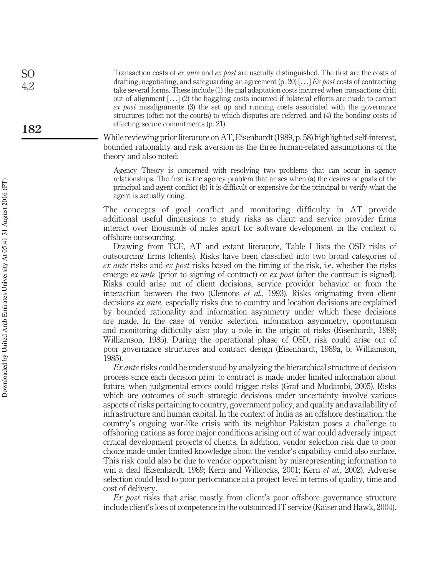Transaction costs of *ex ante* and *ex post* are usefully distinguished. The first are the costs of drafting, negotiating, and safeguarding an agreement (p. 20) [...] *Ex post* costs of contracting take several forms. These include (1) the mal adaptation costs incurred when transactions drift out of alignment [...] (2) the haggling costs incurred if bilateral efforts are made to correct *ex post* misalignments (3) the set up and running costs associated with the governance structures (often not the courts) to which disputes are referred, and (4) the bonding costs of effecting secure commitments (p. 21).

While reviewing prior literature on AT, Eisenhardt (1989, p. 58) highlighted self-interest, bounded rationality and risk aversion as the three human-related assumptions of the theory and also noted:

Agency Theory is concerned with resolving two problems that can occur in agency relationships. The first is the agency problem that arises when (a) the desires or goals of the principal and agent conflict (b) it is difficult or expensive for the principal to verify what the agent is actually doing.

The concepts of goal conflict and monitoring difficulty in AT provide additional useful dimensions to study risks as client and service provider firms interact over thousands of miles apart for software development in the context of offshore outsourcing.

Drawing from TCE, AT and extant literature, Table I lists the OSD risks of outsourcing firms (clients). Risks have been classified into two broad categories of *ex ante* risks and *ex post* risks based on the timing of the risk, i.e. whether the risks emerge *ex ante* (prior to signing of contract) or *ex post* (after the contract is signed). Risks could arise out of client decisions, service provider behavior or from the interaction between the two (Clemons *et al.*, 1993). Risks originating from client decisions *ex ante,* especially risks due to country and location decisions are explained by bounded rationality and information asymmetry under which these decisions are made. In the case of vendor selection, information asymmetry, opportunism and monitoring difficulty also play a role in the origin of risks (Eisenhardt, 1989; Williamson, 1985). During the operational phase of OSD, risk could arise out of poor governance structures and contract design (Eisenhardt, 1989a, b; Williamson, 1985).

*Ex ante* risks could be understood by analyzing the hierarchical structure of decision process since each decision prior to contract is made under limited information about future, when judgmental errors could trigger risks (Graf and Mudambi, 2005). Risks which are outcomes of such strategic decisions under uncertainty involve various aspects of risks pertaining to country, government policy, and quality and availability of infrastructure and human capital. In the context of India as an offshore destination, the country's ongoing war-like crisis with its neighbor Pakistan poses a challenge to offshoring nations as force major conditions arising out of war could adversely impact critical development projects of clients. In addition, vendor selection risk due to poor choice made under limited knowledge about the vendor's capability could also surface. This risk could also be due to vendor opportunism by misrepresenting information to win a deal (Eisenhardt, 1989; Kern and Willcocks, 2001; Kern *et al.*, 2002). Adverse selection could lead to poor performance at a project level in terms of quality, time and cost of delivery.

*Ex post* risks that arise mostly from client's poor offshore governance structure include client's loss of competence in the outsourced IT service (Kaiser and Hawk, 2004).

SO 4,2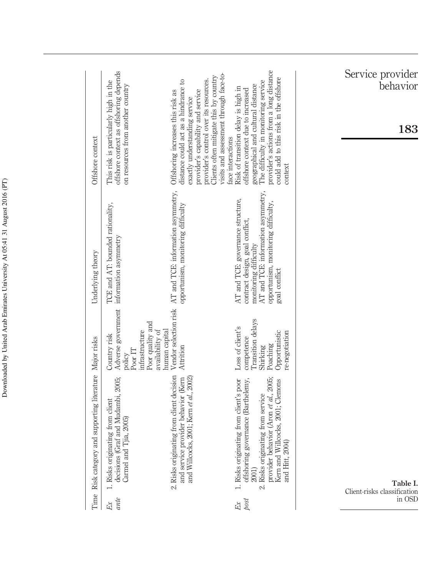| Time       | Risk category and supporting literature Major risks                                                                                                                                                                          |                                                                                                                | Underlying theory                                                                                                                                                                           | Offshore context                                                                                                                                                                                                                                                                                                      |
|------------|------------------------------------------------------------------------------------------------------------------------------------------------------------------------------------------------------------------------------|----------------------------------------------------------------------------------------------------------------|---------------------------------------------------------------------------------------------------------------------------------------------------------------------------------------------|-----------------------------------------------------------------------------------------------------------------------------------------------------------------------------------------------------------------------------------------------------------------------------------------------------------------------|
| ante<br>Ex | raf and Mudambi, 2005;<br>1. Risks originating from client<br>Tjia, 2005)<br>decisions (G)<br>Carmel and                                                                                                                     | Adverse government<br>Poor quality and<br>infrastructure<br>Country risk<br>Poor IT<br>policy                  | TCE and AT: bounded rationality,<br>information asymmetry                                                                                                                                   | offshore context as offshoring depends<br>This risk is particularly high in the<br>on resources from another country                                                                                                                                                                                                  |
|            | 2. Risks originating from client decision<br>and service provider behavior (Kern<br>and Willcocks, 2001; Kern et al., 2002)                                                                                                  | Vendor selection risk<br>availability of<br>human capital<br>Attrition                                         | AT and TCE: information asymmetry,<br>opportunism, monitoring difficulty                                                                                                                    | Clients often mitigate this by country<br>provider's control over its resources.<br>distance could act as a hindrance to<br>Offshoring increases this risk as<br>provider's capability and service<br>exactly understanding service                                                                                   |
| post<br>Ex | provider behavior (Aron et al., 2005;<br>offshoring governance (Barthelemy,<br>1. Risks originating from client's poor<br>Kern and Willcocks, 2001; Clemons<br>2. Risks originating from service<br>and Hitt, 2004)<br>2001) | Transition delays<br>Loss of client's<br>Opportunistic<br>re-negotiation<br>competence<br>Poaching<br>Shirking | AT and TCE: information asymmetry,<br>AT and TCE: governance structure,<br>opportunism, monitoring difficulty,<br>contract design, goal conflict,<br>monitoring difficulty<br>goal conflict | provider's actions from a long distance<br>visits and assessment through face-to-<br>could add to this risk in the offshore<br>The difficulty in monitoring service<br>geographical and cultural distance<br>Risk of transition delay is high in<br>offshore context due to increased<br>face interactions<br>context |
| in OSD     | Table I.<br>Client-risks classification                                                                                                                                                                                      |                                                                                                                |                                                                                                                                                                                             | Service provider<br>behavior<br>183                                                                                                                                                                                                                                                                                   |

Downloaded by United Arab Emirates University At 05:41 31 August 2016 (PT) Downloaded by United Arab Emirates University At 05:41 31 August 2016 (PT)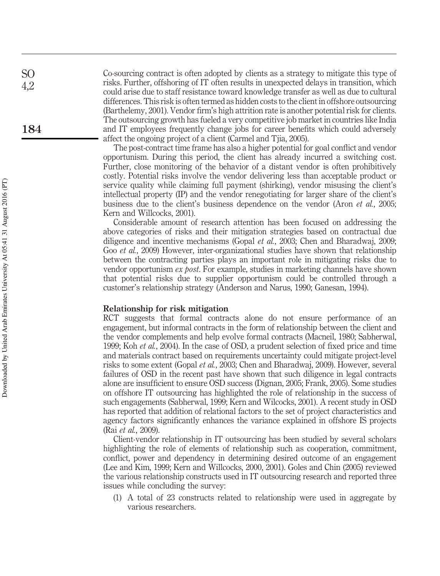Co-sourcing contract is often adopted by clients as a strategy to mitigate this type of risks. Further, offshoring of IT often results in unexpected delays in transition, which could arise due to staff resistance toward knowledge transfer as well as due to cultural differences. This risk is often termed as hidden costs to the client in offshore outsourcing (Barthelemy, 2001). Vendor firm's high attrition rate is another potential risk for clients. The outsourcing growth has fueled a very competitive job market in countries like India and IT employees frequently change jobs for career benefits which could adversely affect the ongoing project of a client (Carmel and Tjia, 2005).

The post-contract time frame has also a higher potential for goal conflict and vendor opportunism. During this period, the client has already incurred a switching cost. Further, close monitoring of the behavior of a distant vendor is often prohibitively costly. Potential risks involve the vendor delivering less than acceptable product or service quality while claiming full payment (shirking), vendor misusing the client's intellectual property (IP) and the vendor renegotiating for larger share of the client's business due to the client's business dependence on the vendor (Aron *et al.*, 2005; Kern and Willcocks, 2001).

Considerable amount of research attention has been focused on addressing the above categories of risks and their mitigation strategies based on contractual due diligence and incentive mechanisms (Gopal *et al.*, 2003; Chen and Bharadwaj, 2009; Goo *et al.*, 2009) However, inter-organizational studies have shown that relationship between the contracting parties plays an important role in mitigating risks due to vendor opportunism *ex post*. For example, studies in marketing channels have shown that potential risks due to supplier opportunism could be controlled through a customer's relationship strategy (Anderson and Narus, 1990; Ganesan, 1994).

#### Relationship for risk mitigation

RCT suggests that formal contracts alone do not ensure performance of an engagement, but informal contracts in the form of relationship between the client and the vendor complements and help evolve formal contracts (Macneil, 1980; Sabherwal, 1999; Koh *et al.*, 2004). In the case of OSD, a prudent selection of fixed price and time and materials contract based on requirements uncertainty could mitigate project-level risks to some extent (Gopal *et al.*, 2003; Chen and Bharadwaj, 2009). However, several failures of OSD in the recent past have shown that such diligence in legal contracts alone are insufficient to ensure OSD success (Dignan, 2005; Frank, 2005). Some studies on offshore IT outsourcing has highlighted the role of relationship in the success of such engagements (Sabherwal, 1999; Kern and Wilcocks, 2001). A recent study in OSD has reported that addition of relational factors to the set of project characteristics and agency factors significantly enhances the variance explained in offshore IS projects (Rai *et al.*, 2009).

Client-vendor relationship in IT outsourcing has been studied by several scholars highlighting the role of elements of relationship such as cooperation, commitment, conflict, power and dependency in determining desired outcome of an engagement (Lee and Kim, 1999; Kern and Willcocks, 2000, 2001). Goles and Chin (2005) reviewed the various relationship constructs used in IT outsourcing research and reported three issues while concluding the survey:

(1) A total of 23 constructs related to relationship were used in aggregate by various researchers.

4,2

SO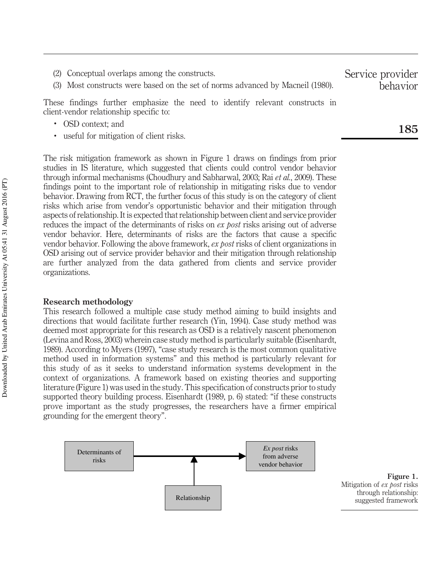- (2) Conceptual overlaps among the constructs.
- (3) Most constructs were based on the set of norms advanced by Macneil (1980).

These findings further emphasize the need to identify relevant constructs in client-vendor relationship specific to:

- . OSD context; and
- . useful for mitigation of client risks.

The risk mitigation framework as shown in Figure 1 draws on findings from prior studies in IS literature, which suggested that clients could control vendor behavior through informal mechanisms (Choudhury and Sabharwal, 2003; Rai *et al.*, 2009). These findings point to the important role of relationship in mitigating risks due to vendor behavior. Drawing from RCT, the further focus of this study is on the category of client risks which arise from vendor's opportunistic behavior and their mitigation through aspects of relationship. It is expected that relationship between client and service provider reduces the impact of the determinants of risks on *ex post* risks arising out of adverse vendor behavior. Here, determinants of risks are the factors that cause a specific vendor behavior. Following the above framework, *ex post* risks of client organizations in OSD arising out of service provider behavior and their mitigation through relationship are further analyzed from the data gathered from clients and service provider organizations.

### Research methodology

This research followed a multiple case study method aiming to build insights and directions that would facilitate further research (Yin, 1994). Case study method was deemed most appropriate for this research as OSD is a relatively nascent phenomenon (Levina and Ross, 2003) wherein case study method is particularly suitable (Eisenhardt, 1989). According to Myers (1997), "case study research is the most common qualitative method used in information systems" and this method is particularly relevant for this study of as it seeks to understand information systems development in the context of organizations. A framework based on existing theories and supporting literature (Figure 1) was used in the study. This specification of constructs prior to study supported theory building process. Eisenhardt (1989, p. 6) stated: "if these constructs prove important as the study progresses, the researchers have a firmer empirical grounding for the emergent theory".



Figure 1. Mitigation of *ex post* risks through relationship: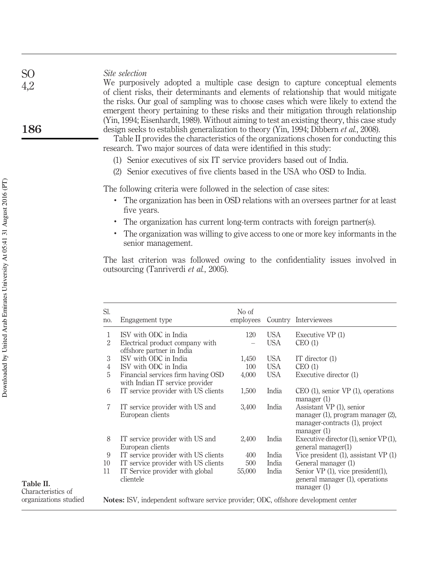| Site selection |  |
|----------------|--|
|----------------|--|

We purposively adopted a multiple case design to capture conceptual elements of client risks, their determinants and elements of relationship that would mitigate the risks. Our goal of sampling was to choose cases which were likely to extend the emergent theory pertaining to these risks and their mitigation through relationship (Yin, 1994; Eisenhardt, 1989). Without aiming to test an existing theory, this case study design seeks to establish generalization to theory (Yin, 1994; Dibbern *et al.*, 2008).

Table II provides the characteristics of the organizations chosen for conducting this research. Two major sources of data were identified in this study:

- (1) Senior executives of six IT service providers based out of India.
- (2) Senior executives of five clients based in the USA who OSD to India.

The following criteria were followed in the selection of case sites:

- . The organization has been in OSD relations with an oversees partner for at least five years.
- . The organization has current long-term contracts with foreign partner(s).
- . The organization was willing to give access to one or more key informants in the senior management.

The last criterion was followed owing to the confidentiality issues involved in outsourcing (Tanriverdi *et al.*, 2005).

| Sl.<br>no.   | Engagement type                                                       | No of<br>employees |            | Country Interviewees                                                                                                   |
|--------------|-----------------------------------------------------------------------|--------------------|------------|------------------------------------------------------------------------------------------------------------------------|
| $\mathbf{1}$ | ISV with ODC in India                                                 | 120                | <b>USA</b> | Executive VP (1)                                                                                                       |
| 2            | Electrical product company with<br>offshore partner in India          |                    | USA        | CEO(1)                                                                                                                 |
| 3            | ISV with ODC in India                                                 | 1,450              | USA        | IT director $(1)$                                                                                                      |
| 4            | ISV with ODC in India                                                 | 100                | USA        | CEO(1)                                                                                                                 |
| 5            | Financial services firm having OSD<br>with Indian IT service provider | 4,000              | USA        | Executive director (1)                                                                                                 |
| 6            | IT service provider with US clients                                   | 1,500              | India      | $CEO(1)$ , senior VP $(1)$ , operations<br>$m$ anager $(1)$                                                            |
| 7            | IT service provider with US and<br>European clients                   | 3,400              | India      | Assistant VP (1), senior<br>manager $(1)$ , program manager $(2)$ ,<br>manager-contracts (1), project<br>manager $(1)$ |
| 8            | IT service provider with US and<br>European clients                   | 2,400              | India      | Executive director $(1)$ , senior VP $(1)$ ,<br>general manager(1)                                                     |
| 9            | IT service provider with US clients                                   | 400                | India      | Vice president $(1)$ , assistant VP $(1)$                                                                              |
| 10           | IT service provider with US clients                                   | 500                | India      | General manager (1)                                                                                                    |
| 11           | IT Service provider with global<br>clientele                          | 55,000             | India      | Senior $VP(1)$ , vice president $(1)$ ,<br>general manager (1), operations<br>manager $(1)$                            |

organizations studied

Notes: ISV, independent software service provider; ODC, offshore development center

SO 4,2

186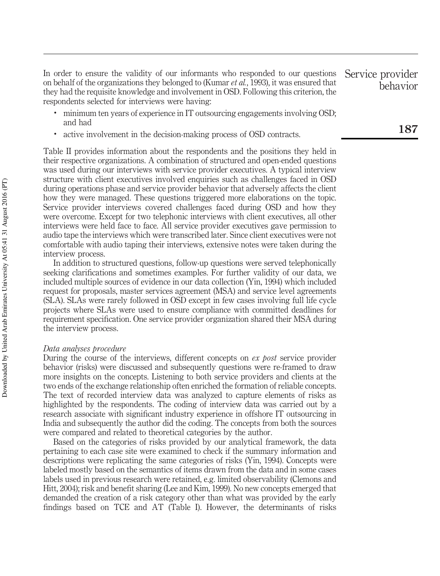In order to ensure the validity of our informants who responded to our questions on behalf of the organizations they belonged to (Kumar *et al.*, 1993), it was ensured that they had the requisite knowledge and involvement in OSD. Following this criterion, the respondents selected for interviews were having:

- minimum ten years of experience in IT outsourcing engagements involving OSD; and had
- . active involvement in the decision-making process of OSD contracts.

Table II provides information about the respondents and the positions they held in their respective organizations. A combination of structured and open-ended questions was used during our interviews with service provider executives. A typical interview structure with client executives involved enquiries such as challenges faced in OSD during operations phase and service provider behavior that adversely affects the client how they were managed. These questions triggered more elaborations on the topic. Service provider interviews covered challenges faced during OSD and how they were overcome. Except for two telephonic interviews with client executives, all other interviews were held face to face. All service provider executives gave permission to audio tape the interviews which were transcribed later. Since client executives were not comfortable with audio taping their interviews, extensive notes were taken during the interview process.

In addition to structured questions, follow-up questions were served telephonically seeking clarifications and sometimes examples. For further validity of our data, we included multiple sources of evidence in our data collection (Yin, 1994) which included request for proposals, master services agreement (MSA) and service level agreements (SLA). SLAs were rarely followed in OSD except in few cases involving full life cycle projects where SLAs were used to ensure compliance with committed deadlines for requirement specification. One service provider organization shared their MSA during the interview process.

#### *Data analyses procedure*

During the course of the interviews, different concepts on *ex post* service provider behavior (risks) were discussed and subsequently questions were re-framed to draw more insights on the concepts. Listening to both service providers and clients at the two ends of the exchange relationship often enriched the formation of reliable concepts. The text of recorded interview data was analyzed to capture elements of risks as highlighted by the respondents. The coding of interview data was carried out by a research associate with significant industry experience in offshore IT outsourcing in India and subsequently the author did the coding. The concepts from both the sources were compared and related to theoretical categories by the author.

Based on the categories of risks provided by our analytical framework, the data pertaining to each case site were examined to check if the summary information and descriptions were replicating the same categories of risks (Yin, 1994). Concepts were labeled mostly based on the semantics of items drawn from the data and in some cases labels used in previous research were retained, e.g. limited observability (Clemons and Hitt, 2004); risk and benefit sharing (Lee and Kim, 1999). No new concepts emerged that demanded the creation of a risk category other than what was provided by the early findings based on TCE and AT (Table I). However, the determinants of risks

behavior

Service provider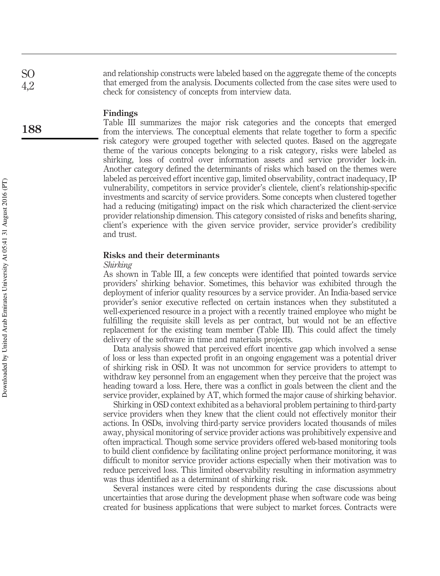and relationship constructs were labeled based on the aggregate theme of the concepts that emerged from the analysis. Documents collected from the case sites were used to check for consistency of concepts from interview data.

#### Findings

Table III summarizes the major risk categories and the concepts that emerged from the interviews. The conceptual elements that relate together to form a specific risk category were grouped together with selected quotes. Based on the aggregate theme of the various concepts belonging to a risk category, risks were labeled as shirking, loss of control over information assets and service provider lock-in. Another category defined the determinants of risks which based on the themes were labeled as perceived effort incentive gap, limited observability, contract inadequacy, IP vulnerability, competitors in service provider's clientele, client's relationship-specific investments and scarcity of service providers. Some concepts when clustered together had a reducing (mitigating) impact on the risk which characterized the client-service provider relationship dimension. This category consisted of risks and benefits sharing, client's experience with the given service provider, service provider's credibility and trust.

#### Risks and their determinants

#### *Shirking*

As shown in Table III, a few concepts were identified that pointed towards service providers' shirking behavior. Sometimes, this behavior was exhibited through the deployment of inferior quality resources by a service provider. An India-based service provider's senior executive reflected on certain instances when they substituted a well-experienced resource in a project with a recently trained employee who might be fulfilling the requisite skill levels as per contract, but would not be an effective replacement for the existing team member (Table III). This could affect the timely delivery of the software in time and materials projects.

Data analysis showed that perceived effort incentive gap which involved a sense of loss or less than expected profit in an ongoing engagement was a potential driver of shirking risk in OSD. It was not uncommon for service providers to attempt to withdraw key personnel from an engagement when they perceive that the project was heading toward a loss. Here, there was a conflict in goals between the client and the service provider, explained by AT, which formed the major cause of shirking behavior.

Shirking in OSD context exhibited as a behavioral problem pertaining to third-party service providers when they knew that the client could not effectively monitor their actions. In OSDs, involving third-party service providers located thousands of miles away, physical monitoring of service provider actions was prohibitively expensive and often impractical. Though some service providers offered web-based monitoring tools to build client confidence by facilitating online project performance monitoring, it was difficult to monitor service provider actions especially when their motivation was to reduce perceived loss. This limited observability resulting in information asymmetry was thus identified as a determinant of shirking risk.

Several instances were cited by respondents during the case discussions about uncertainties that arose during the development phase when software code was being created for business applications that were subject to market forces. Contracts were

SO 4,2

188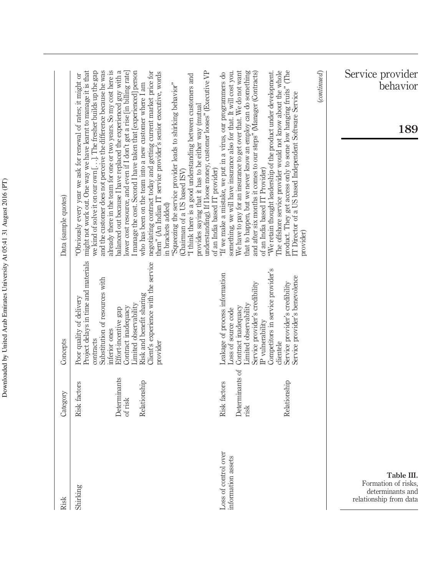| Risk                                                                            | Category                                                | Concepts                                                                                                                                                                                                                                                                                 | Data (sample quotes)                                                                                                                                                                                                                                                                                                                                                                                                                                                                                                                                                                                                                                                                                                                                                                                                                                                                                                                                                                                        |
|---------------------------------------------------------------------------------|---------------------------------------------------------|------------------------------------------------------------------------------------------------------------------------------------------------------------------------------------------------------------------------------------------------------------------------------------------|-------------------------------------------------------------------------------------------------------------------------------------------------------------------------------------------------------------------------------------------------------------------------------------------------------------------------------------------------------------------------------------------------------------------------------------------------------------------------------------------------------------------------------------------------------------------------------------------------------------------------------------------------------------------------------------------------------------------------------------------------------------------------------------------------------------------------------------------------------------------------------------------------------------------------------------------------------------------------------------------------------------|
| Shirking                                                                        | Determinants<br>Relationship<br>Risk factors<br>of risk | Project delays in time and materials<br>Client's experience with the service<br>Substitution of resources with<br>Risk and benefit sharing<br>Poor quality of delivery<br>Limited observability<br>Contract inadequacy<br>Effort-incentive gap<br>inferior ones<br>contracts<br>provider | might not work out. One way we have learnt to manage it is that<br>and the customer does not perceive the difference because he was<br>already there in the team for one or two years. So my cost here is<br>balanced out because I have replaced the experienced guy with a<br>I manage the cost. Second I have taken that [experienced] person<br>we kind of solve it on our own []. The fresher builds up the gap<br>lower cost resource, and even if I don't get a rise [in billing rate]<br>negotiating contract today and getting current market price for<br>them" (An Indian IT service provider's senior executive, words<br>"I think there is a good understanding between customers and<br>Obviously every year we ask for renewal of rates; it might or<br>who has been on the team into a new customer where I am<br>"Squeezing the service provider leads to shirking behavior"<br>provides saying that it has to be either way (mutual<br>(Chairman of a US based ISV)<br>in brackets added) |
| Loss of control over<br>information assets                                      | Determinants of<br>Relationship<br>Risk factors<br>risk | Competitors in service provider's<br>Leakage of process information<br>Service provider's benevolence<br>Service provider's credibility<br>Service provider's credibility<br>Limited observability<br>Contract inadequacy<br>Loss of source code<br>IP vulnerability<br>clientele        | We have to pay for an insurance to get over that. We do not want<br>that to happen, but we never know an employ can do something<br>The offshore service provider would not know about the whole<br>product. They get access only to some low hanging fruits" (The<br>understanding). If I loose money, customer looses" (Executive VP<br>and after six months it comes to our steps" (Manager (Contracts)<br>something, we will have insurance also for that. It will cost you.<br>"We retain thought leadership of the product under development.<br>"If we make a mistake, we put in a virus, our programmers do<br>IT Director of a US based Independent Software Service<br>of an India based IT Provider)<br>of an India based IT provider)<br>provider)                                                                                                                                                                                                                                              |
| Table III.<br>Formation of risks,<br>determinants and<br>relationship from data |                                                         |                                                                                                                                                                                                                                                                                          | Service provider<br>behavior<br>$_{(continued)}$<br>189                                                                                                                                                                                                                                                                                                                                                                                                                                                                                                                                                                                                                                                                                                                                                                                                                                                                                                                                                     |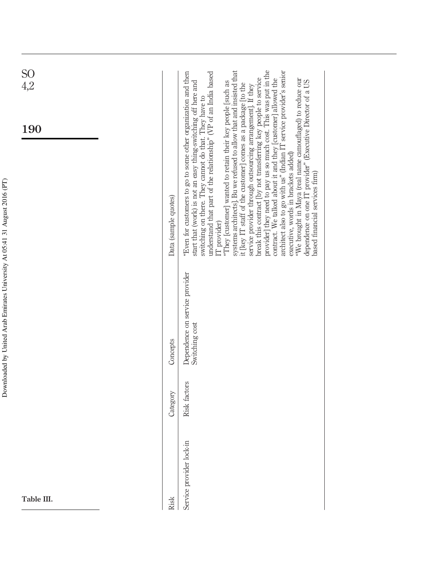| SO<br>4,2  |                      |                                                                                                                                                                                                                                                                                                                                                                                                                                                                                                                                                                                                                                                                                                                                                                                                                                                                                                                                                                                                                                |
|------------|----------------------|--------------------------------------------------------------------------------------------------------------------------------------------------------------------------------------------------------------------------------------------------------------------------------------------------------------------------------------------------------------------------------------------------------------------------------------------------------------------------------------------------------------------------------------------------------------------------------------------------------------------------------------------------------------------------------------------------------------------------------------------------------------------------------------------------------------------------------------------------------------------------------------------------------------------------------------------------------------------------------------------------------------------------------|
| 190        | Data (sample quotes) | systems architects]. Bu we refused to allow that and insisted that<br>provider] they need to pay us so much cost. This was put in the<br>architect also to go with us" (Indian IT service provider's senior<br>"Even for customers to go to some other organization and then<br>understand that part of the relationship" (VP of an India based<br>contract. We talked about it and they [customer] allowed the<br>break this contract [by not transferring key people to service<br>"We brought in Maya (real name camouflaged) to reduce our<br>start that (work) is not an easy thing-switching off here and<br>dependence on one IT provider" (Executive Director of a US<br>"They [customer] wanted to retain their key people [such as<br>it [key IT staff of the customer] comes as a package [to the<br>service provider through outsourcing arrangement]. If they<br>switching on there. They cannot do that. They have to<br>executive, words in brackets added)<br>based financial services firm)<br>$[T$ provider) |
|            | Concepts             | Dependence on service provider<br>Switching cost                                                                                                                                                                                                                                                                                                                                                                                                                                                                                                                                                                                                                                                                                                                                                                                                                                                                                                                                                                               |
|            | Category             | Risk factors                                                                                                                                                                                                                                                                                                                                                                                                                                                                                                                                                                                                                                                                                                                                                                                                                                                                                                                                                                                                                   |
| Table III. | Risk                 | Service provider lock-in                                                                                                                                                                                                                                                                                                                                                                                                                                                                                                                                                                                                                                                                                                                                                                                                                                                                                                                                                                                                       |

Downloaded by United Arab Emirates University At 05:41 31 August 2016 (PT) Downloaded by United Arab Emirates University At 05:41 31 August 2016 (PT)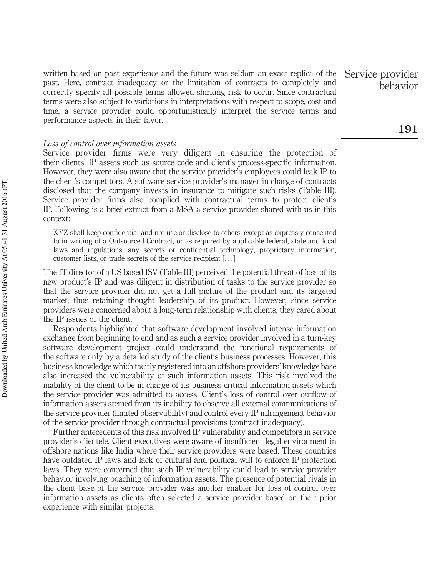written based on past experience and the future was seldom an exact replica of the past. Here, contract inadequacy or the limitation of contracts to completely and correctly specify all possible terms allowed shirking risk to occur. Since contractual terms were also subject to variations in interpretations with respect to scope, cost and time, a service provider could opportunistically interpret the service terms and performance aspects in their favor.

#### *Loss of control over information assets*

Service provider firms were very diligent in ensuring the protection of their clients' IP assets such as source code and client's process-specific information. However, they were also aware that the service provider's employees could leak IP to the client's competitors. A software service provider's manager in charge of contracts disclosed that the company invests in insurance to mitigate such risks (Table III). Service provider firms also complied with contractual terms to protect client's IP. Following is a brief extract from a MSA a service provider shared with us in this context:

XYZ shall keep confidential and not use or disclose to others, except as expressly consented to in writing of a Outsourced Contract, or as required by applicable federal, state and local laws and regulations, any secrets or confidential technology, proprietary information, customer lists, or trade secrets of the service recipient [...]

The IT director of a US-based ISV (Table III) perceived the potential threat of loss of its new product's IP and was diligent in distribution of tasks to the service provider so that the service provider did not get a full picture of the product and its targeted market, thus retaining thought leadership of its product. However, since service providers were concerned about a long-term relationship with clients, they cared about the IP issues of the client.

Respondents highlighted that software development involved intense information exchange from beginning to end and as such a service provider involved in a turn-key software development project could understand the functional requirements of the software only by a detailed study of the client's business processes. However, this business knowledge which tacitly registered into an offshore providers' knowledge base also increased the vulnerability of such information assets. This risk involved the inability of the client to be in charge of its business critical information assets which the service provider was admitted to access. Client's loss of control over outflow of information assets stemed from its inability to observe all external communications of the service provider (limited observability) and control every IP infringement behavior of the service provider through contractual provisions (contract inadequacy).

Further antecedents of this risk involved IP vulnerability and competitors in service provider's clientele. Client executives were aware of insufficient legal environment in offshore nations like India where their service providers were based. These countries have outdated IP laws and lack of cultural and political will to enforce IP protection laws. They were concerned that such IP vulnerability could lead to service provider behavior involving poaching of information assets. The presence of potential rivals in the client base of the service provider was another enabler for loss of control over information assets as clients often selected a service provider based on their prior experience with similar projects.

Service provider behavior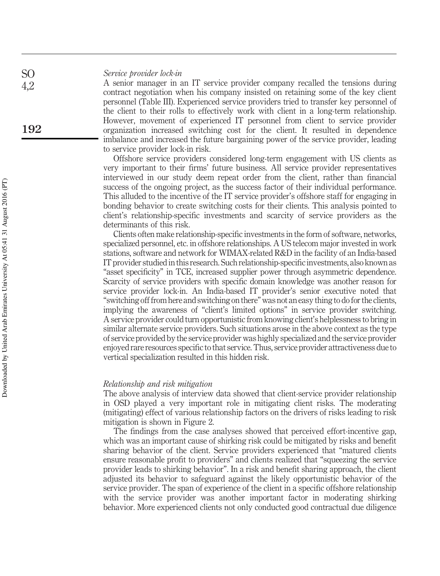#### *Service provider lock-in*

A senior manager in an IT service provider company recalled the tensions during contract negotiation when his company insisted on retaining some of the key client personnel (Table III). Experienced service providers tried to transfer key personnel of the client to their rolls to effectively work with client in a long-term relationship. However, movement of experienced IT personnel from client to service provider organization increased switching cost for the client. It resulted in dependence imbalance and increased the future bargaining power of the service provider, leading to service provider lock-in risk.

Offshore service providers considered long-term engagement with US clients as very important to their firms' future business. All service provider representatives interviewed in our study deem repeat order from the client, rather than financial success of the ongoing project, as the success factor of their individual performance. This alluded to the incentive of the IT service provider's offshore staff for engaging in bonding behavior to create switching costs for their clients. This analysis pointed to client's relationship-specific investments and scarcity of service providers as the determinants of this risk.

Clients often make relationship-specific investments in the form of software, networks, specialized personnel, etc. in offshore relationships. A US telecom major invested in work stations, software and network for WIMAX-related R&D in the facility of an India-based IT provider studied in this research. Such relationship-specific investments, also known as "asset specificity" in TCE, increased supplier power through asymmetric dependence. Scarcity of service providers with specific domain knowledge was another reason for service provider lock-in. An India-based IT provider's senior executive noted that "switching off from here and switching on there" was not an easy thing to do for the clients, implying the awareness of "client's limited options" in service provider switching. A service provider could turn opportunistic from knowing client's helplessness to bring in similar alternate service providers. Such situations arose in the above context as the type of service provided by the service provider was highly specialized and the service provider enjoyed rare resources specific to that service. Thus, service provider attractiveness due to vertical specialization resulted in this hidden risk.

#### *Relationship and risk mitigation*

The above analysis of interview data showed that client-service provider relationship in OSD played a very important role in mitigating client risks. The moderating (mitigating) effect of various relationship factors on the drivers of risks leading to risk mitigation is shown in Figure 2.

The findings from the case analyses showed that perceived effort-incentive gap, which was an important cause of shirking risk could be mitigated by risks and benefit sharing behavior of the client. Service providers experienced that "matured clients ensure reasonable profit to providers" and clients realized that "squeezing the service provider leads to shirking behavior". In a risk and benefit sharing approach, the client adjusted its behavior to safeguard against the likely opportunistic behavior of the service provider. The span of experience of the client in a specific offshore relationship with the service provider was another important factor in moderating shirking behavior. More experienced clients not only conducted good contractual due diligence

SO 4,2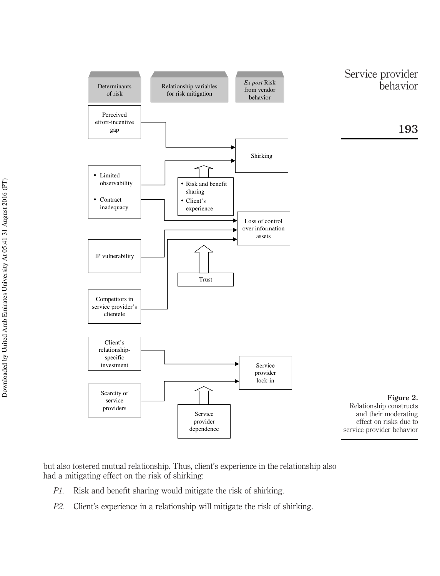

but also fostered mutual relationship. Thus, client's experience in the relationship also had a mitigating effect on the risk of shirking:

- *P1.* Risk and benefit sharing would mitigate the risk of shirking.
- *P2.* Client's experience in a relationship will mitigate the risk of shirking.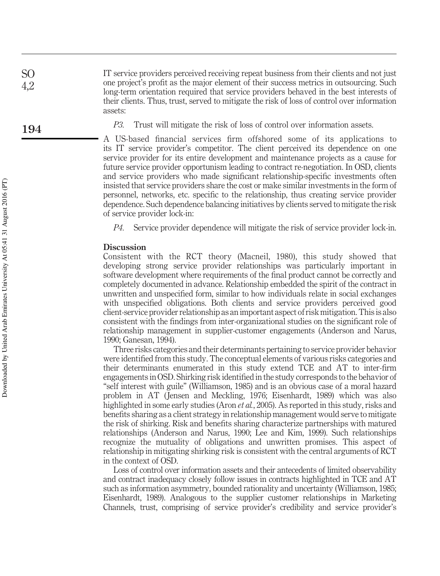IT service providers perceived receiving repeat business from their clients and not just one project's profit as the major element of their success metrics in outsourcing. Such long-term orientation required that service providers behaved in the best interests of their clients. Thus, trust, served to mitigate the risk of loss of control over information assets:

*P3.* Trust will mitigate the risk of loss of control over information assets.

A US-based financial services firm offshored some of its applications to its IT service provider's competitor. The client perceived its dependence on one service provider for its entire development and maintenance projects as a cause for future service provider opportunism leading to contract re-negotiation. In OSD, clients and service providers who made significant relationship-specific investments often insisted that service providers share the cost or make similar investments in the form of personnel, networks, etc. specific to the relationship, thus creating service provider dependence. Such dependence balancing initiatives by clients served to mitigate the risk of service provider lock-in:

*P4.* Service provider dependence will mitigate the risk of service provider lock-in.

#### Discussion

Consistent with the RCT theory (Macneil, 1980), this study showed that developing strong service provider relationships was particularly important in software development where requirements of the final product cannot be correctly and completely documented in advance. Relationship embedded the spirit of the contract in unwritten and unspecified form, similar to how individuals relate in social exchanges with unspecified obligations. Both clients and service providers perceived good client-service provider relationship as an important aspect of risk mitigation. This is also consistent with the findings from inter-organizational studies on the significant role of relationship management in supplier-customer engagements (Anderson and Narus, 1990; Ganesan, 1994).

Three risks categories and their determinants pertaining to service provider behavior were identified from this study. The conceptual elements of various risks categories and their determinants enumerated in this study extend TCE and AT to inter-firm engagements in OSD. Shirking risk identified in the study corresponds to the behavior of "self interest with guile" (Williamson, 1985) and is an obvious case of a moral hazard problem in AT ( Jensen and Meckling, 1976; Eisenhardt, 1989) which was also highlighted in some early studies (Aron *et al.*, 2005). As reported in this study, risks and benefits sharing as a client strategy in relationship management would serve to mitigate the risk of shirking. Risk and benefits sharing characterize partnerships with matured relationships (Anderson and Narus, 1990; Lee and Kim, 1999). Such relationships recognize the mutuality of obligations and unwritten promises. This aspect of relationship in mitigating shirking risk is consistent with the central arguments of RCT in the context of OSD.

Loss of control over information assets and their antecedents of limited observability and contract inadequacy closely follow issues in contracts highlighted in TCE and AT such as information asymmetry, bounded rationality and uncertainty (Williamson, 1985; Eisenhardt, 1989). Analogous to the supplier customer relationships in Marketing Channels, trust, comprising of service provider's credibility and service provider's

SO 4,2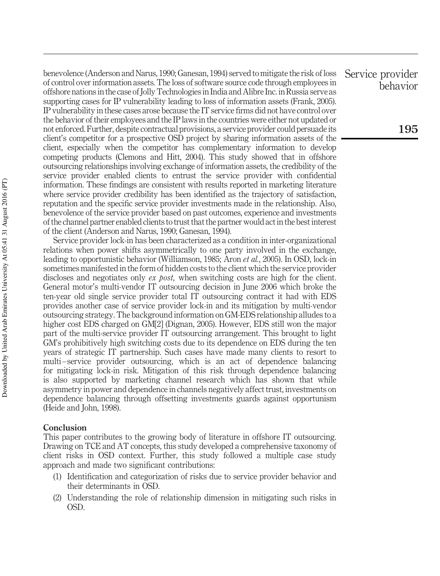benevolence (Anderson and Narus, 1990; Ganesan, 1994) served to mitigate the risk of loss of control over information assets. The loss of software source code through employees in offshore nations in the case of Jolly Technologies in India and Alibre Inc. in Russia serve as supporting cases for IP vulnerability leading to loss of information assets (Frank, 2005). IP vulnerability in these cases arose because the IT service firms did not have control over the behavior of their employees and the IP laws in the countries were either not updated or not enforced. Further, despite contractual provisions, a service provider could persuade its client's competitor for a prospective OSD project by sharing information assets of the client, especially when the competitor has complementary information to develop competing products (Clemons and Hitt, 2004). This study showed that in offshore outsourcing relationships involving exchange of information assets, the credibility of the service provider enabled clients to entrust the service provider with confidential information. These findings are consistent with results reported in marketing literature where service provider credibility has been identified as the trajectory of satisfaction, reputation and the specific service provider investments made in the relationship. Also, benevolence of the service provider based on past outcomes, experience and investments of the channel partner enabled clients to trust that the partner would act in the best interest of the client (Anderson and Narus, 1990; Ganesan, 1994).

Service provider lock-in has been characterized as a condition in inter-organizational relations when power shifts asymmetrically to one party involved in the exchange, leading to opportunistic behavior (Williamson, 1985; Aron *et al.*, 2005). In OSD, lock-in sometimes manifested in the form of hidden costs to the client which the service provider discloses and negotiates only *ex post,* when switching costs are high for the client. General motor's multi-vendor IT outsourcing decision in June 2006 which broke the ten-year old single service provider total IT outsourcing contract it had with EDS provides another case of service provider lock-in and its mitigation by multi-vendor outsourcing strategy. The background information on GM-EDS relationship alludes to a higher cost EDS charged on GM[2] (Dignan, 2005). However, EDS still won the major part of the multi-service provider IT outsourcing arrangement. This brought to light GM's prohibitively high switching costs due to its dependence on EDS during the ten years of strategic IT partnership. Such cases have made many clients to resort to multi –service provider outsourcing, which is an act of dependence balancing for mitigating lock-in risk. Mitigation of this risk through dependence balancing is also supported by marketing channel research which has shown that while asymmetry in power and dependence in channels negatively affect trust, investments on dependence balancing through offsetting investments guards against opportunism (Heide and John, 1998).

#### Conclusion

This paper contributes to the growing body of literature in offshore IT outsourcing. Drawing on TCE and AT concepts, this study developed a comprehensive taxonomy of client risks in OSD context. Further, this study followed a multiple case study approach and made two significant contributions:

- (1) Identification and categorization of risks due to service provider behavior and their determinants in OSD.
- (2) Understanding the role of relationship dimension in mitigating such risks in OSD.

Service provider behavior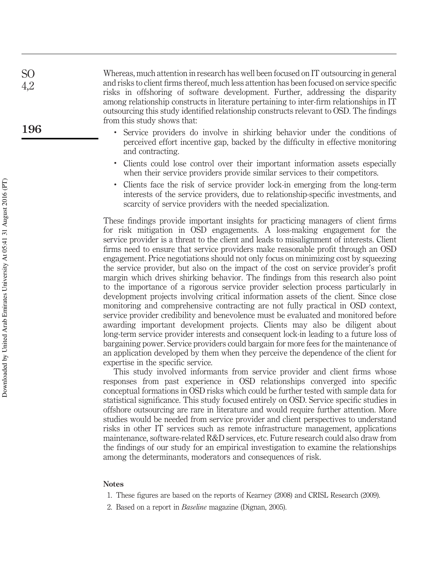Whereas, much attention in research has well been focused on IT outsourcing in general and risks to client firms thereof, much less attention has been focused on service specific risks in offshoring of software development. Further, addressing the disparity among relationship constructs in literature pertaining to inter-firm relationships in IT outsourcing this study identified relationship constructs relevant to OSD. The findings from this study shows that:

- . Service providers do involve in shirking behavior under the conditions of perceived effort incentive gap, backed by the difficulty in effective monitoring and contracting.
- . Clients could lose control over their important information assets especially when their service providers provide similar services to their competitors.
- . Clients face the risk of service provider lock-in emerging from the long-term interests of the service providers, due to relationship-specific investments, and scarcity of service providers with the needed specialization.

These findings provide important insights for practicing managers of client firms for risk mitigation in OSD engagements. A loss-making engagement for the service provider is a threat to the client and leads to misalignment of interests. Client firms need to ensure that service providers make reasonable profit through an OSD engagement. Price negotiations should not only focus on minimizing cost by squeezing the service provider, but also on the impact of the cost on service provider's profit margin which drives shirking behavior. The findings from this research also point to the importance of a rigorous service provider selection process particularly in development projects involving critical information assets of the client. Since close monitoring and comprehensive contracting are not fully practical in OSD context, service provider credibility and benevolence must be evaluated and monitored before awarding important development projects. Clients may also be diligent about long-term service provider interests and consequent lock-in leading to a future loss of bargaining power. Service providers could bargain for more fees for the maintenance of an application developed by them when they perceive the dependence of the client for expertise in the specific service.

This study involved informants from service provider and client firms whose responses from past experience in OSD relationships converged into specific conceptual formations in OSD risks which could be further tested with sample data for statistical significance. This study focused entirely on OSD. Service specific studies in offshore outsourcing are rare in literature and would require further attention. More studies would be needed from service provider and client perspectives to understand risks in other IT services such as remote infrastructure management, applications maintenance, software-related R&D services, etc. Future research could also draw from the findings of our study for an empirical investigation to examine the relationships among the determinants, moderators and consequences of risk.

#### Notes

- 1. These figures are based on the reports of Kearney (2008) and CRISL Research (2009).
- 2. Based on a report in *Baseline* magazine (Dignan, 2005).

SO 4,2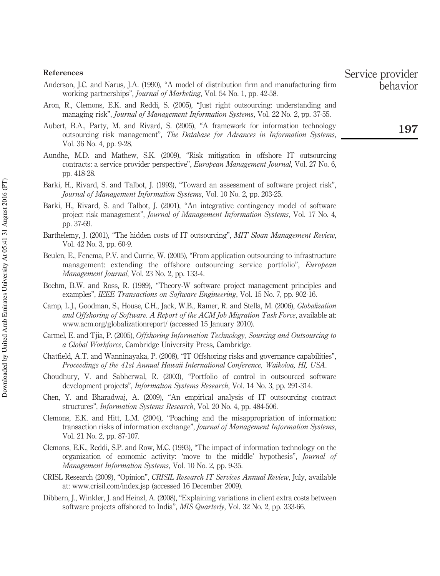#### References

- Anderson, J.C. and Narus, J.A. (1990), "A model of distribution firm and manufacturing firm working partnerships", *Journal of Marketing*, Vol. 54 No. 1, pp. 42-58.
- Aron, R., Clemons, E.K. and Reddi, S. (2005), "Just right outsourcing: understanding and managing risk", *Journal of Management Information Systems*, Vol. 22 No. 2, pp. 37-55.
- Aubert, B.A., Party, M. and Rivard, S. (2005), "A framework for information technology outsourcing risk management", *The Database for Advances in Information Systems*, Vol. 36 No. 4, pp. 9-28.
- Aundhe, M.D. and Mathew, S.K. (2009), "Risk mitigation in offshore IT outsourcing contracts: a service provider perspective", *European Management Journal*, Vol. 27 No. 6, pp. 418-28.
- Barki, H., Rivard, S. and Talbot, J. (1993), "Toward an assessment of software project risk", *Journal of Management Information Systems*, Vol. 10 No. 2, pp. 203-25.
- Barki, H., Rivard, S. and Talbot, J. (2001), "An integrative contingency model of software project risk management", *Journal of Management Information Systems*, Vol. 17 No. 4, pp. 37-69.
- Barthelemy, J. (2001), "The hidden costs of IT outsourcing", *MIT Sloan Management Review*, Vol. 42 No. 3, pp. 60-9.
- Beulen, E., Fenema, P.V. and Currie, W. (2005), "From application outsourcing to infrastructure management: extending the offshore outsourcing service portfolio", *European Management Journal*, Vol. 23 No. 2, pp. 133-4.
- Boehm, B.W. and Ross, R. (1989), "Theory-W software project management principles and examples", *IEEE Transactions on Software Engineering*, Vol. 15 No. 7, pp. 902-16.
- Camp, L.J., Goodman, S., House, C.H., Jack, W.B., Ramer, R. and Stella, M. (2006), *Globalization and Offshoring of Software. A Report of the ACM Job Migration Task Force*, available at: www.acm.org/globalizationreport/ (accessed 15 January 2010).
- Carmel, E. and Tjia, P. (2005), *Offshoring Information Technology, Sourcing and Outsourcing to a Global Workforce*, Cambridge University Press, Cambridge.
- Chatfield, A.T. and Wanninayaka, P. (2008), "IT Offshoring risks and governance capabilities", *Proceedings of the 41st Annual Hawaii International Conference, Waikoloa, HI, USA*.
- Choudhury, V. and Sabherwal, R. (2003), "Portfolio of control in outsourced software development projects", *Information Systems Research*, Vol. 14 No. 3, pp. 291-314.
- Chen, Y. and Bharadwaj, A. (2009), "An empirical analysis of IT outsourcing contract structures", *Information Systems Research*, Vol. 20 No. 4, pp. 484-506.
- Clemons, E.K. and Hitt, L.M. (2004), "Poaching and the misappropriation of information: transaction risks of information exchange", *Journal of Management Information Systems*, Vol. 21 No. 2, pp. 87-107.
- Clemons, E.K., Reddi, S.P. and Row, M.C. (1993), "The impact of information technology on the organization of economic activity: 'move to the middle' hypothesis", *Journal of Management Information Systems*, Vol. 10 No. 2, pp. 9-35.
- CRISL Research (2009), "Opinion", *CRISIL Research IT Services Annual Review*, July, available at: www.crisil.com/index.jsp (accessed 16 December 2009).
- Dibbern, J., Winkler, J. and Heinzl, A. (2008), "Explaining variations in client extra costs between software projects offshored to India", *MIS Quarterly*, Vol. 32 No. 2, pp. 333-66.

Service provider behavior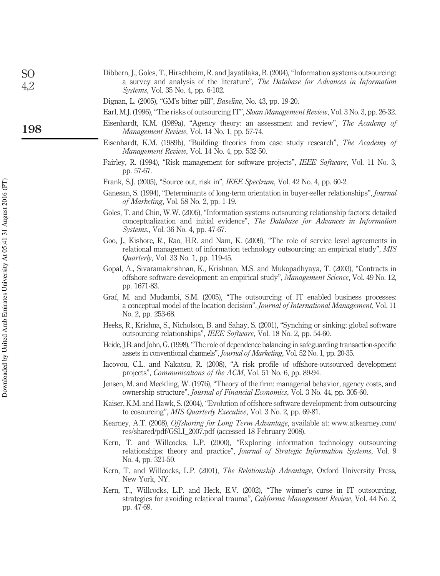| S <sub>O</sub><br>4,2 | Dibbern, J., Goles, T., Hirschheim, R. and Jayatilaka, B. (2004), "Information systems outsourcing:<br>a survey and analysis of the literature", The Database for Advances in Information<br>Systems, Vol. 35 No. 4, pp. 6-102.      |
|-----------------------|--------------------------------------------------------------------------------------------------------------------------------------------------------------------------------------------------------------------------------------|
|                       | Dignan, L. (2005), "GM's bitter pill", <i>Baseline</i> , No. 43, pp. 19-20.                                                                                                                                                          |
|                       | Earl, M.J. (1996), "The risks of outsourcing IT", Sloan Management Review, Vol. 3 No. 3, pp. 26-32.                                                                                                                                  |
| 198                   | Eisenhardt, K.M. (1989a), "Agency theory: an assessment and review", The Academy of<br>Management Review, Vol. 14 No. 1, pp. 57-74.                                                                                                  |
|                       | Eisenhardt, K.M. (1989b), "Building theories from case study research", The Academy of<br>Management Review, Vol. 14 No. 4, pp. 532-50.                                                                                              |
|                       | Fairley, R. (1994), "Risk management for software projects", IEEE Software, Vol. 11 No. 3,<br>pp. 57-67.                                                                                                                             |
|                       | Frank, S.J. (2005), "Source out, risk in", IEEE Spectrum, Vol. 42 No. 4, pp. 60-2.                                                                                                                                                   |
|                       | Ganesan, S. (1994), "Determinants of long-term orientation in buyer-seller relationships", Journal<br>of Marketing, Vol. 58 No. 2, pp. 1-19.                                                                                         |
|                       | Goles, T. and Chin, W.W. (2005), "Information systems outsourcing relationship factors: detailed<br>conceptualization and initial evidence", The Database for Advances in Information<br><i>Systems.</i> , Vol. 36 No. 4, pp. 47-67. |
|                       | Goo, J., Kishore, R., Rao, H.R. and Nam, K. (2009), "The role of service level agreements in<br>relational management of information technology outsourcing: an empirical study", MIS<br>Quarterly, Vol. 33 No. 1, pp. 119-45.       |
|                       | Gopal, A., Sivaramakrishnan, K., Krishnan, M.S. and Mukopadhyaya, T. (2003), "Contracts in<br>offshore software development: an empirical study", Management Science, Vol. 49 No. 12,<br>pp. 1671-83.                                |
|                       | Graf, M. and Mudambi, S.M. (2005), "The outsourcing of IT enabled business processes:<br>a conceptual model of the location decision", Journal of International Management, Vol. 11<br>No. 2, pp. 253-68.                            |
|                       | Heeks, R., Krishna, S., Nicholson, B. and Sahay, S. (2001), "Synching or sinking: global software<br>outsourcing relationships", IEEE Software, Vol. 18 No. 2, pp. 54-60.                                                            |
|                       | Heide, J.B. and John, G. (1998), "The role of dependence balancing in safeguarding transaction-specific<br>assets in conventional channels", Journal of Marketing, Vol. 52 No. 1, pp. 20-35.                                         |
|                       | Iacovou, C.L. and Nakatsu, R. (2008), "A risk profile of offshore-outsourced development<br>projects", Communications of the ACM, Vol. 51 No. 6, pp. 89-94.                                                                          |
|                       | Jensen, M. and Meckling, W. (1976), "Theory of the firm: managerial behavior, agency costs, and<br>ownership structure", <i>Journal of Financial Economics</i> , Vol. 3 No. 44, pp. 305-60.                                          |
|                       | Kaiser, K.M. and Hawk, S. (2004), "Evolution of offshore software development: from outsourcing<br>to cosourcing", MIS Quarterly Executive, Vol. 3 No. 2, pp. 69-81.                                                                 |
|                       | Kearney, A.T. (2008), Offshoring for Long Term Advantage, available at: www.atkearney.com/<br>res/shared/pdf/GSLI_2007.pdf (accessed 18 February 2008).                                                                              |
|                       | Kern, T. and Willcocks, L.P. (2000), "Exploring information technology outsourcing<br>relationships: theory and practice", Journal of Strategic Information Systems, Vol. 9<br>No. 4, pp. 321-50.                                    |
|                       | Kern, T. and Willcocks, L.P. (2001), The Relationship Advantage, Oxford University Press,<br>New York, NY.                                                                                                                           |
|                       | Kern, T., Willcocks, L.P. and Heck, E.V. (2002), "The winner's curse in IT outsourcing,<br>strategies for avoiding relational trauma", <i>California Management Review</i> , Vol. 44 No. 2,<br>pp. 47-69.                            |
|                       |                                                                                                                                                                                                                                      |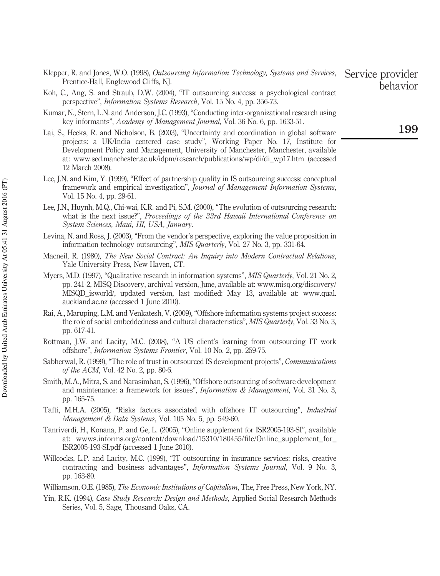- Klepper, R. and Jones, W.O. (1998), *Outsourcing Information Technology, Systems and Services*, Prentice-Hall, Englewood Cliffs, NJ.
- Koh, C., Ang, S. and Straub, D.W. (2004), "IT outsourcing success: a psychological contract perspective", *Information Systems Research*, Vol. 15 No. 4, pp. 356-73.
- Kumar, N., Stern, L.N. and Anderson, J.C. (1993), "Conducting inter-organizational research using key informants", *Academy of Management Journal*, Vol. 36 No. 6, pp. 1633-51.
- Lai, S., Heeks, R. and Nicholson, B. (2003), "Uncertainty and coordination in global software projects: a UK/India centered case study", Working Paper No. 17, Institute for Development Policy and Management, University of Manchester, Manchester, available at: www.sed.manchester.ac.uk/idpm/research/publications/wp/di/di\_wp17.htm (accessed 12 March 2008).
- Lee, J.N. and Kim, Y. (1999), "Effect of partnership quality in IS outsourcing success: conceptual framework and empirical investigation", *Journal of Management Information Systems*, Vol. 15 No. 4, pp. 29-61.
- Lee, J.N., Huynh, M.Q., Chi-wai, K.R. and Pi, S.M. (2000), "The evolution of outsourcing research: what is the next issue?", *Proceedings of the 33rd Hawaii International Conference on System Sciences, Maui, HI, USA, January*.
- Levina, N. and Ross, J. (2003), "From the vendor's perspective, exploring the value proposition in information technology outsourcing", *MIS Quarterly*, Vol. 27 No. 3, pp. 331-64.
- Macneil, R. (1980), *The New Social Contract: An Inquiry into Modern Contractual Relations*, Yale University Press, New Haven, CT.
- Myers, M.D. (1997), "Qualitative research in information systems", *MIS Quarterly*, Vol. 21 No. 2, pp. 241-2, MISQ Discovery, archival version, June, available at: www.misq.org/discovery/ MISQD\_isworld/, updated version, last modified: May 13, available at: www.qual. auckland.ac.nz (accessed 1 June 2010).
- Rai, A., Maruping, L.M. and Venkatesh, V. (2009), "Offshore information systems project success: the role of social embeddedness and cultural characteristics", *MIS Quarterly*, Vol. 33 No. 3, pp. 617-41.
- Rottman, J.W. and Lacity, M.C. (2008), "A US client's learning from outsourcing IT work offshore", *Information Systems Frontier*, Vol. 10 No. 2, pp. 259-75.
- Sabherwal, R. (1999), "The role of trust in outsourced IS development projects", *Communications of the ACM*, Vol. 42 No. 2, pp. 80-6.
- Smith, M.A., Mitra, S. and Narasimhan, S. (1996), "Offshore outsourcing of software development and maintenance: a framework for issues", *Information & Management*, Vol. 31 No. 3, pp. 165-75.
- Tafti, M.H.A. (2005), "Risks factors associated with offshore IT outsourcing", *Industrial Management & Data Systems*, Vol. 105 No. 5, pp. 549-60.
- Tanriverdi, H., Konana, P. and Ge, L. (2005), "Online supplement for ISR2005-193-SI", available at: wwws.informs.org/content/download/15310/180455/file/Online\_supplement\_for\_ ISR2005-193-SI.pdf (accessed 1 June 2010).
- Willcocks, L.P. and Lacity, M.C. (1999), "IT outsourcing in insurance services: risks, creative contracting and business advantages", *Information Systems Journal*, Vol. 9 No. 3, pp. 163-80.
- Williamson, O.E. (1985), *The Economic Institutions of Capitalism*, The, Free Press, New York, NY.
- Yin, R.K. (1994), *Case Study Research: Design and Methods*, Applied Social Research Methods Series, Vol. 5, Sage, Thousand Oaks, CA.

Service provider behavior

## 199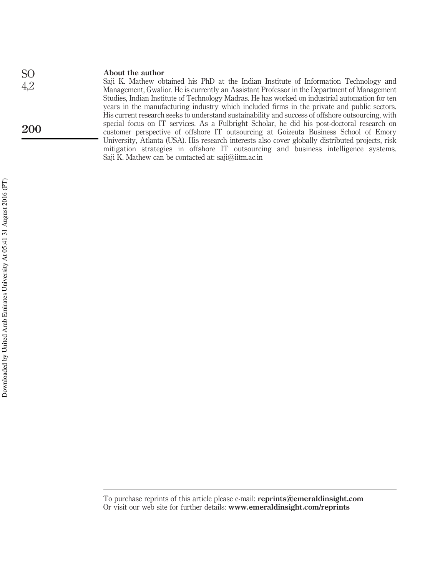#### About the author Saji K. Mathew obtained his PhD at the Indian Institute of Information Technology and Management, Gwalior. He is currently an Assistant Professor in the Department of Management Studies, Indian Institute of Technology Madras. He has worked on industrial automation for ten years in the manufacturing industry which included firms in the private and public sectors. His current research seeks to understand sustainability and success of offshore outsourcing, with special focus on IT services. As a Fulbright Scholar, he did his post-doctoral research on customer perspective of offshore IT outsourcing at Goizeuta Business School of Emory University, Atlanta (USA). His research interests also cover globally distributed projects, risk mitigation strategies in offshore IT outsourcing and business intelligence systems. Saji K. Mathew can be contacted at: saji@iitm.ac.in SO 4,2 200